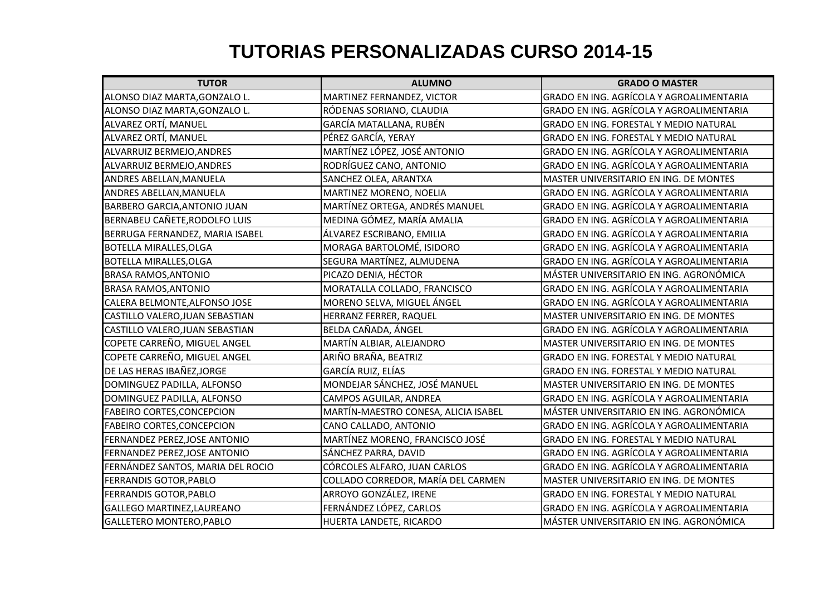## **TUTORIAS PERSONALIZADAS CURSO 2014-15**

| <b>TUTOR</b>                        | <b>ALUMNO</b>                        | <b>GRADO O MASTER</b>                    |
|-------------------------------------|--------------------------------------|------------------------------------------|
| ALONSO DIAZ MARTA, GONZALO L.       | MARTINEZ FERNANDEZ, VICTOR           | GRADO EN ING. AGRÍCOLA Y AGROALIMENTARIA |
| ALONSO DIAZ MARTA, GONZALO L.       | RÓDENAS SORIANO, CLAUDIA             | GRADO EN ING. AGRÍCOLA Y AGROALIMENTARIA |
| ALVAREZ ORTÍ, MANUEL                | GARCÍA MATALLANA, RUBÉN              | GRADO EN ING. FORESTAL Y MEDIO NATURAL   |
| ALVAREZ ORTÍ, MANUEL                | PÉREZ GARCÍA, YERAY                  | GRADO EN ING. FORESTAL Y MEDIO NATURAL   |
| ALVARRUIZ BERMEJO, ANDRES           | MARTÍNEZ LÓPEZ, JOSÉ ANTONIO         | GRADO EN ING. AGRÍCOLA Y AGROALIMENTARIA |
| ALVARRUIZ BERMEJO, ANDRES           | RODRÍGUEZ CANO, ANTONIO              | GRADO EN ING. AGRÍCOLA Y AGROALIMENTARIA |
| ANDRES ABELLAN, MANUELA             | SANCHEZ OLEA, ARANTXA                | MASTER UNIVERSITARIO EN ING. DE MONTES   |
| ANDRES ABELLAN, MANUELA             | MARTINEZ MORENO, NOELIA              | GRADO EN ING. AGRÍCOLA Y AGROALIMENTARIA |
| <b>BARBERO GARCIA, ANTONIO JUAN</b> | MARTÍNEZ ORTEGA, ANDRÉS MANUEL       | GRADO EN ING. AGRÍCOLA Y AGROALIMENTARIA |
| BERNABEU CAÑETE, RODOLFO LUIS       | MEDINA GÓMEZ, MARÍA AMALIA           | GRADO EN ING. AGRÍCOLA Y AGROALIMENTARIA |
| BERRUGA FERNANDEZ, MARIA ISABEL     | ÁLVAREZ ESCRIBANO, EMILIA            | GRADO EN ING. AGRÍCOLA Y AGROALIMENTARIA |
| <b>BOTELLA MIRALLES, OLGA</b>       | MORAGA BARTOLOMÉ, ISIDORO            | GRADO EN ING. AGRÍCOLA Y AGROALIMENTARIA |
| <b>BOTELLA MIRALLES, OLGA</b>       | SEGURA MARTÍNEZ, ALMUDENA            | GRADO EN ING. AGRÍCOLA Y AGROALIMENTARIA |
| <b>BRASA RAMOS, ANTONIO</b>         | PICAZO DENIA, HÉCTOR                 | MÁSTER UNIVERSITARIO EN ING. AGRONÓMICA  |
| <b>BRASA RAMOS, ANTONIO</b>         | MORATALLA COLLADO, FRANCISCO         | GRADO EN ING. AGRÍCOLA Y AGROALIMENTARIA |
| CALERA BELMONTE, ALFONSO JOSE       | MORENO SELVA, MIGUEL ÁNGEL           | GRADO EN ING. AGRÍCOLA Y AGROALIMENTARIA |
| CASTILLO VALERO, JUAN SEBASTIAN     | HERRANZ FERRER, RAQUEL               | MASTER UNIVERSITARIO EN ING. DE MONTES   |
| CASTILLO VALERO, JUAN SEBASTIAN     | BELDA CAÑADA, ÁNGEL                  | GRADO EN ING. AGRÍCOLA Y AGROALIMENTARIA |
| COPETE CARREÑO, MIGUEL ANGEL        | MARTÍN ALBIAR, ALEJANDRO             | MASTER UNIVERSITARIO EN ING. DE MONTES   |
| COPETE CARREÑO, MIGUEL ANGEL        | ARIÑO BRAÑA, BEATRIZ                 | GRADO EN ING. FORESTAL Y MEDIO NATURAL   |
| DE LAS HERAS IBAÑEZ, JORGE          | GARCÍA RUIZ, ELÍAS                   | GRADO EN ING. FORESTAL Y MEDIO NATURAL   |
| DOMINGUEZ PADILLA, ALFONSO          | MONDEJAR SÁNCHEZ, JOSÉ MANUEL        | MASTER UNIVERSITARIO EN ING. DE MONTES   |
| DOMINGUEZ PADILLA, ALFONSO          | CAMPOS AGUILAR, ANDREA               | GRADO EN ING. AGRÍCOLA Y AGROALIMENTARIA |
| <b>FABEIRO CORTES, CONCEPCION</b>   | MARTÍN-MAESTRO CONESA, ALICIA ISABEL | MÁSTER UNIVERSITARIO EN ING. AGRONÓMICA  |
| <b>FABEIRO CORTES, CONCEPCION</b>   | CANO CALLADO, ANTONIO                | GRADO EN ING. AGRÍCOLA Y AGROALIMENTARIA |
| FERNANDEZ PEREZ, JOSE ANTONIO       | MARTÍNEZ MORENO, FRANCISCO JOSÉ      | GRADO EN ING. FORESTAL Y MEDIO NATURAL   |
| FERNANDEZ PEREZ, JOSE ANTONIO       | SÁNCHEZ PARRA, DAVID                 | GRADO EN ING. AGRÍCOLA Y AGROALIMENTARIA |
| FERNÁNDEZ SANTOS, MARIA DEL ROCIO   | CÓRCOLES ALFARO, JUAN CARLOS         | GRADO EN ING. AGRÍCOLA Y AGROALIMENTARIA |
| FERRANDIS GOTOR, PABLO              | COLLADO CORREDOR, MARÍA DEL CARMEN   | MASTER UNIVERSITARIO EN ING. DE MONTES   |
| <b>FERRANDIS GOTOR, PABLO</b>       | ARROYO GONZÁLEZ, IRENE               | GRADO EN ING. FORESTAL Y MEDIO NATURAL   |
| GALLEGO MARTINEZ, LAUREANO          | FERNÁNDEZ LÓPEZ, CARLOS              | GRADO EN ING. AGRÍCOLA Y AGROALIMENTARIA |
| GALLETERO MONTERO, PABLO            | HUERTA LANDETE, RICARDO              | MÁSTER UNIVERSITARIO EN ING. AGRONÓMICA  |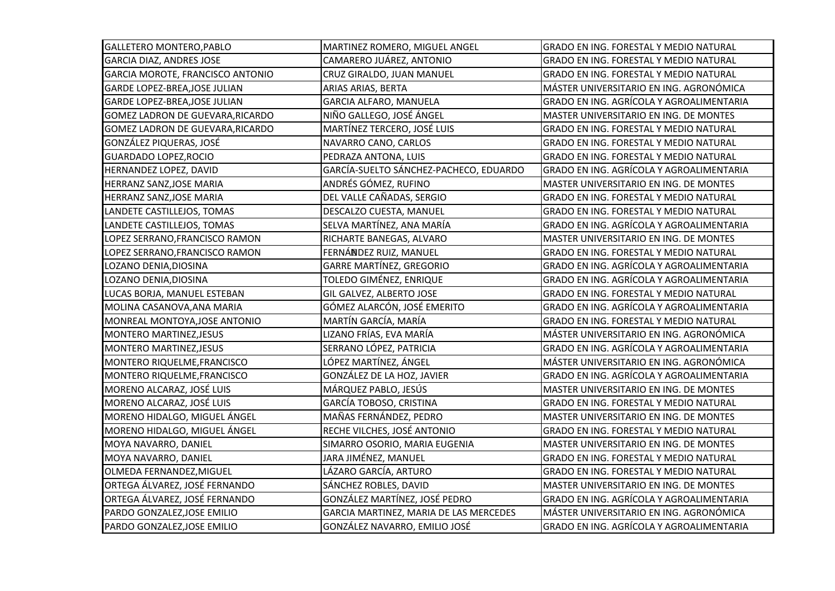| GALLETERO MONTERO, PABLO         | MARTINEZ ROMERO, MIGUEL ANGEL          | GRADO EN ING. FORESTAL Y MEDIO NATURAL   |
|----------------------------------|----------------------------------------|------------------------------------------|
| <b>GARCIA DIAZ, ANDRES JOSE</b>  | CAMARERO JUÁREZ, ANTONIO               | GRADO EN ING. FORESTAL Y MEDIO NATURAL   |
| GARCIA MOROTE, FRANCISCO ANTONIO | CRUZ GIRALDO, JUAN MANUEL              | GRADO EN ING. FORESTAL Y MEDIO NATURAL   |
| GARDE LOPEZ-BREA, JOSE JULIAN    | ARIAS ARIAS, BERTA                     | MÁSTER UNIVERSITARIO EN ING. AGRONÓMICA  |
| GARDE LOPEZ-BREA, JOSE JULIAN    | GARCIA ALFARO, MANUELA                 | GRADO EN ING. AGRÍCOLA Y AGROALIMENTARIA |
| GOMEZ LADRON DE GUEVARA, RICARDO | NIÑO GALLEGO, JOSÉ ÁNGEL               | MASTER UNIVERSITARIO EN ING. DE MONTES   |
| GOMEZ LADRON DE GUEVARA, RICARDO | MARTÍNEZ TERCERO, JOSÉ LUIS            | GRADO EN ING. FORESTAL Y MEDIO NATURAL   |
| GONZÁLEZ PIQUERAS, JOSÉ          | NAVARRO CANO, CARLOS                   | GRADO EN ING. FORESTAL Y MEDIO NATURAL   |
| <b>GUARDADO LOPEZ, ROCIO</b>     | PEDRAZA ANTONA, LUIS                   | GRADO EN ING. FORESTAL Y MEDIO NATURAL   |
| HERNANDEZ LOPEZ, DAVID           | GARCÍA-SUELTO SÁNCHEZ-PACHECO, EDUARDO | GRADO EN ING. AGRÍCOLA Y AGROALIMENTARIA |
| HERRANZ SANZ, JOSE MARIA         | ANDRÉS GÓMEZ, RUFINO                   | MASTER UNIVERSITARIO EN ING. DE MONTES   |
| HERRANZ SANZ, JOSE MARIA         | DEL VALLE CAÑADAS, SERGIO              | GRADO EN ING. FORESTAL Y MEDIO NATURAL   |
| LANDETE CASTILLEJOS, TOMAS       | DESCALZO CUESTA, MANUEL                | GRADO EN ING. FORESTAL Y MEDIO NATURAL   |
| LANDETE CASTILLEJOS, TOMAS       | SELVA MARTÍNEZ, ANA MARÍA              | GRADO EN ING. AGRÍCOLA Y AGROALIMENTARIA |
| LOPEZ SERRANO, FRANCISCO RAMON   | RICHARTE BANEGAS, ALVARO               | MASTER UNIVERSITARIO EN ING. DE MONTES   |
| LOPEZ SERRANO, FRANCISCO RAMON   | FERNÁNDEZ RUIZ, MANUEL                 | GRADO EN ING. FORESTAL Y MEDIO NATURAL   |
| LOZANO DENIA,DIOSINA             | <b>GARRE MARTÍNEZ, GREGORIO</b>        | GRADO EN ING. AGRÍCOLA Y AGROALIMENTARIA |
| LOZANO DENIA, DIOSINA            | TOLEDO GIMÉNEZ, ENRIQUE                | GRADO EN ING. AGRÍCOLA Y AGROALIMENTARIA |
| LUCAS BORJA, MANUEL ESTEBAN      | GIL GALVEZ, ALBERTO JOSE               | GRADO EN ING. FORESTAL Y MEDIO NATURAL   |
| MOLINA CASANOVA, ANA MARIA       | GÓMEZ ALARCÓN, JOSÉ EMERITO            | GRADO EN ING. AGRÍCOLA Y AGROALIMENTARIA |
| MONREAL MONTOYA, JOSE ANTONIO    | MARTÍN GARCÍA, MARÍA                   | GRADO EN ING. FORESTAL Y MEDIO NATURAL   |
| <b>MONTERO MARTINEZ, JESUS</b>   | LIZANO FRÍAS, EVA MARÍA                | MÁSTER UNIVERSITARIO EN ING. AGRONÓMICA  |
| MONTERO MARTINEZ, JESUS          | SERRANO LÓPEZ, PATRICIA                | GRADO EN ING. AGRÍCOLA Y AGROALIMENTARIA |
| MONTERO RIQUELME, FRANCISCO      | LÓPEZ MARTÍNEZ, ÁNGEL                  | MÁSTER UNIVERSITARIO EN ING. AGRONÓMICA  |
| MONTERO RIQUELME, FRANCISCO      | GONZÁLEZ DE LA HOZ, JAVIER             | GRADO EN ING. AGRÍCOLA Y AGROALIMENTARIA |
| MORENO ALCARAZ, JOSÉ LUIS        | MÁRQUEZ PABLO, JESÚS                   | MASTER UNIVERSITARIO EN ING. DE MONTES   |
| MORENO ALCARAZ, JOSÉ LUIS        | GARCÍA TOBOSO, CRISTINA                | GRADO EN ING. FORESTAL Y MEDIO NATURAL   |
| MORENO HIDALGO, MIGUEL ÁNGEL     | MAÑAS FERNÁNDEZ, PEDRO                 | MASTER UNIVERSITARIO EN ING. DE MONTES   |
| MORENO HIDALGO, MIGUEL ÁNGEL     | RECHE VILCHES, JOSÉ ANTONIO            | GRADO EN ING. FORESTAL Y MEDIO NATURAL   |
| MOYA NAVARRO, DANIEL             | SIMARRO OSORIO, MARIA EUGENIA          | MASTER UNIVERSITARIO EN ING. DE MONTES   |
| MOYA NAVARRO, DANIEL             | JARA JIMÉNEZ, MANUEL                   | GRADO EN ING. FORESTAL Y MEDIO NATURAL   |
| OLMEDA FERNANDEZ, MIGUEL         | LÁZARO GARCÍA, ARTURO                  | GRADO EN ING. FORESTAL Y MEDIO NATURAL   |
| ORTEGA ÁLVAREZ, JOSÉ FERNANDO    | SÁNCHEZ ROBLES, DAVID                  | MASTER UNIVERSITARIO EN ING. DE MONTES   |
| ORTEGA ÁLVAREZ, JOSÉ FERNANDO    | GONZÁLEZ MARTÍNEZ, JOSÉ PEDRO          | GRADO EN ING. AGRÍCOLA Y AGROALIMENTARIA |
| PARDO GONZALEZ, JOSE EMILIO      | GARCIA MARTINEZ, MARIA DE LAS MERCEDES | MÁSTER UNIVERSITARIO EN ING. AGRONÓMICA  |
| PARDO GONZALEZ, JOSE EMILIO      | GONZÁLEZ NAVARRO, EMILIO JOSÉ          | GRADO EN ING. AGRÍCOLA Y AGROALIMENTARIA |